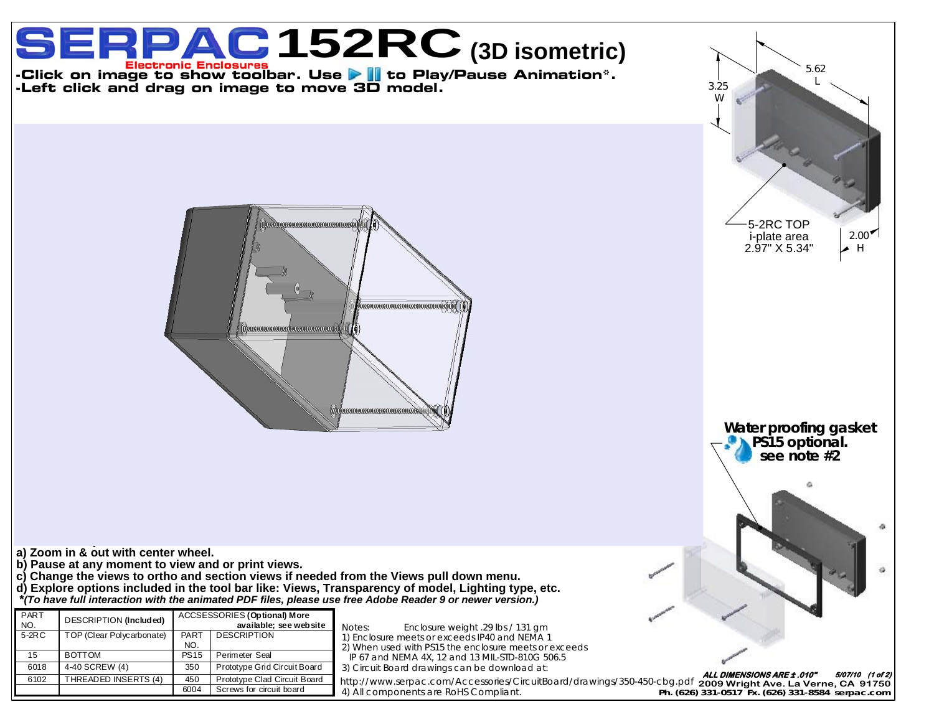